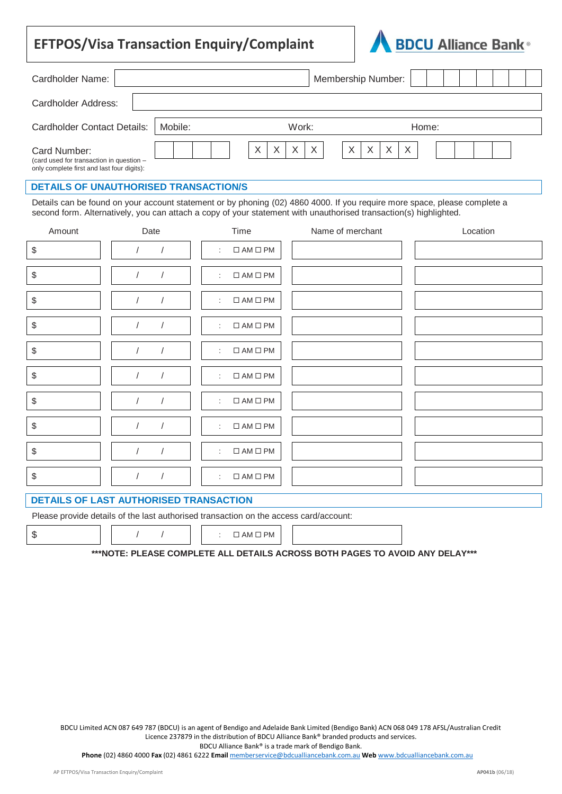## **EFTPOS/Visa Transaction Enquiry/Complaint**



| Cardholder Name:                                                                                                                                                                                                                               |         |                    | <b>Membership Number:</b>          |  |  |  |
|------------------------------------------------------------------------------------------------------------------------------------------------------------------------------------------------------------------------------------------------|---------|--------------------|------------------------------------|--|--|--|
| Cardholder Address:                                                                                                                                                                                                                            |         |                    |                                    |  |  |  |
| Cardholder Contact Details:                                                                                                                                                                                                                    | Mobile: | Work:              | Home:                              |  |  |  |
| Card Number:<br>(card used for transaction in question -<br>only complete first and last four digits):                                                                                                                                         |         | X<br>$\times$<br>X | X<br>X<br>$\mathsf{X}$<br>$\times$ |  |  |  |
| <b>DETAILS OF UNAUTHORISED TRANSACTION/S</b>                                                                                                                                                                                                   |         |                    |                                    |  |  |  |
| Details can be found on your account statement or by phoning (02) 4860 4000. If you require more space, please complete a<br>second form. Alternatively, you can attach a copy of your statement with unauthorised transaction(s) highlighted. |         |                    |                                    |  |  |  |

| Amount                                    | Date                     | Time                                         | Name of merchant | Location |
|-------------------------------------------|--------------------------|----------------------------------------------|------------------|----------|
| $\, \, \raisebox{12pt}{$\scriptstyle \$}$ |                          | $\square$<br>AM $\square$<br><br>PM<br>÷     |                  |          |
| $\, \, \raisebox{12pt}{$\scriptstyle \$}$ |                          | $\square$<br>AM $\square$<br>PM<br>÷         |                  |          |
| \$                                        |                          | $\square$<br>AM $\square$<br><br>PM<br>÷     |                  |          |
| \$                                        | $\prime$                 | $\square$<br>AM $\square$<br><br>PM<br>÷     |                  |          |
| \$                                        |                          | $\square$<br>AM $\square$<br><br>PM<br>÷     |                  |          |
| \$                                        | $\sqrt{2}$               | $\square$<br>AM $\square$<br>PM<br>÷         |                  |          |
| \$                                        |                          | $\square$<br>AM $\square$<br><br>PM<br>÷     |                  |          |
| \$                                        | $\prime$                 | $\Box$ AM $\Box$ PM<br>$\mathbb{C}^{\times}$ |                  |          |
| \$                                        | $\sqrt{2}$<br>$\sqrt{2}$ | $\square$<br>AM $\square$<br><br>PM<br>÷     |                  |          |
| \$                                        |                          | $\Box$ AM $\Box$ PM<br>÷                     |                  |          |

## **DETAILS OF LAST AUTHORISED TRANSACTION**

Please provide details of the last authorised transaction on the access card/account:

 $\overline{a}$ 

 $\begin{array}{ccccccc}\n\text{S} & & & & & \n\end{array}$   $\begin{array}{ccccccc}\n\end{array}$  / /  $\begin{array}{ccccccc}\n\end{array}$  :  $\Box$  AM  $\Box$  PM

**\*\*\*NOTE: PLEASE COMPLETE ALL DETAILS ACROSS BOTH PAGES TO AVOID ANY DELAY\*\*\***

BDCU Limited ACN 087 649 787 (BDCU) is an agent of Bendigo and Adelaide Bank Limited (Bendigo Bank) ACN 068 049 178 AFSL/Australian Credit Licence 237879 in the distribution of BDCU Alliance Bank® branded products and services.

BDCU Alliance Bank® is a trade mark of Bendigo Bank.

**Phone** (02) 4860 4000 **Fax** (02) 4861 6222 **Email** memberservice@bdcualliancebank.com.au **Web** www.bdcualliancebank.com.au